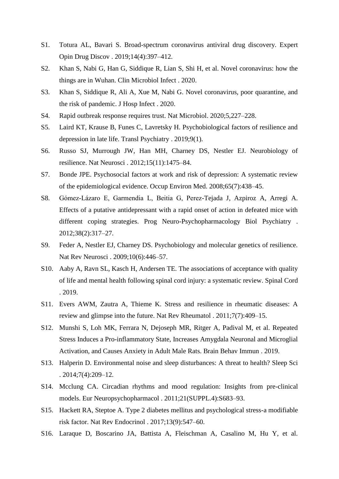- S1. Totura AL, Bavari S. Broad-spectrum coronavirus antiviral drug discovery. Expert Opin Drug Discov . 2019;14(4):397–412.
- S2. Khan S, Nabi G, Han G, Siddique R, Lian S, Shi H, et al. Novel coronavirus: how the things are in Wuhan. Clin Microbiol Infect . 2020.
- S3. Khan S, Siddique R, Ali A, Xue M, Nabi G. Novel coronavirus, poor quarantine, and the risk of pandemic. J Hosp Infect . 2020.
- S4. Rapid outbreak response requires trust. Nat Microbiol. 2020;5,227–228.
- S5. Laird KT, Krause B, Funes C, Lavretsky H. Psychobiological factors of resilience and depression in late life. Transl Psychiatry . 2019;9(1).
- S6. Russo SJ, Murrough JW, Han MH, Charney DS, Nestler EJ. Neurobiology of resilience. Nat Neurosci . 2012;15(11):1475–84.
- S7. Bonde JPE. Psychosocial factors at work and risk of depression: A systematic review of the epidemiological evidence. Occup Environ Med. 2008;65(7):438–45.
- S8. Gómez-Lázaro E, Garmendia L, Beitia G, Perez-Tejada J, Azpiroz A, Arregi A. Effects of a putative antidepressant with a rapid onset of action in defeated mice with different coping strategies. Prog Neuro-Psychopharmacology Biol Psychiatry . 2012;38(2):317–27.
- S9. Feder A, Nestler EJ, Charney DS. Psychobiology and molecular genetics of resilience. Nat Rev Neurosci . 2009;10(6):446–57.
- S10. Aaby A, Ravn SL, Kasch H, Andersen TE. The associations of acceptance with quality of life and mental health following spinal cord injury: a systematic review. Spinal Cord . 2019.
- S11. Evers AWM, Zautra A, Thieme K. Stress and resilience in rheumatic diseases: A review and glimpse into the future. Nat Rev Rheumatol . 2011;7(7):409–15.
- S12. Munshi S, Loh MK, Ferrara N, Dejoseph MR, Ritger A, Padival M, et al. Repeated Stress Induces a Pro-inflammatory State, Increases Amygdala Neuronal and Microglial Activation, and Causes Anxiety in Adult Male Rats. Brain Behav Immun . 2019.
- S13. Halperin D. Environmental noise and sleep disturbances: A threat to health? Sleep Sci . 2014;7(4):209–12.
- S14. Mcclung CA. Circadian rhythms and mood regulation: Insights from pre-clinical models. Eur Neuropsychopharmacol . 2011;21(SUPPL.4):S683–93.
- S15. Hackett RA, Steptoe A. Type 2 diabetes mellitus and psychological stress-a modifiable risk factor. Nat Rev Endocrinol . 2017;13(9):547–60.
- S16. Laraque D, Boscarino JA, Battista A, Fleischman A, Casalino M, Hu Y, et al.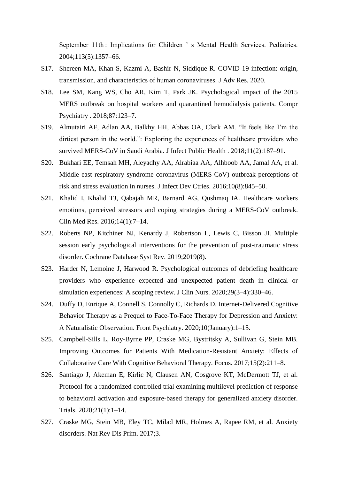September 11th : Implications for Children 's Mental Health Services. Pediatrics. 2004;113(5):1357–66.

- S17. Shereen MA, Khan S, Kazmi A, Bashir N, Siddique R. COVID-19 infection: origin, transmission, and characteristics of human coronaviruses. J Adv Res. 2020.
- S18. Lee SM, Kang WS, Cho AR, Kim T, Park JK. Psychological impact of the 2015 MERS outbreak on hospital workers and quarantined hemodialysis patients. Compr Psychiatry . 2018;87:123–7.
- S19. Almutairi AF, Adlan AA, Balkhy HH, Abbas OA, Clark AM. "It feels like I'm the dirtiest person in the world.": Exploring the experiences of healthcare providers who survived MERS-CoV in Saudi Arabia. J Infect Public Health . 2018;11(2):187–91.
- S20. Bukhari EE, Temsah MH, Aleyadhy AA, Alrabiaa AA, Alhboob AA, Jamal AA, et al. Middle east respiratory syndrome coronavirus (MERS-CoV) outbreak perceptions of risk and stress evaluation in nurses. J Infect Dev Ctries. 2016;10(8):845–50.
- S21. Khalid I, Khalid TJ, Qabajah MR, Barnard AG, Qushmaq IA. Healthcare workers emotions, perceived stressors and coping strategies during a MERS-CoV outbreak. Clin Med Res. 2016;14(1):7–14.
- S22. Roberts NP, Kitchiner NJ, Kenardy J, Robertson L, Lewis C, Bisson JI. Multiple session early psychological interventions for the prevention of post-traumatic stress disorder. Cochrane Database Syst Rev. 2019;2019(8).
- S23. Harder N, Lemoine J, Harwood R. Psychological outcomes of debriefing healthcare providers who experience expected and unexpected patient death in clinical or simulation experiences: A scoping review. J Clin Nurs. 2020;29(3–4):330–46.
- S24. Duffy D, Enrique A, Connell S, Connolly C, Richards D. Internet-Delivered Cognitive Behavior Therapy as a Prequel to Face-To-Face Therapy for Depression and Anxiety: A Naturalistic Observation. Front Psychiatry. 2020;10(January):1–15.
- S25. Campbell-Sills L, Roy-Byrne PP, Craske MG, Bystritsky A, Sullivan G, Stein MB. Improving Outcomes for Patients With Medication-Resistant Anxiety: Effects of Collaborative Care With Cognitive Behavioral Therapy. Focus. 2017;15(2):211–8.
- S26. Santiago J, Akeman E, Kirlic N, Clausen AN, Cosgrove KT, McDermott TJ, et al. Protocol for a randomized controlled trial examining multilevel prediction of response to behavioral activation and exposure-based therapy for generalized anxiety disorder. Trials. 2020;21(1):1–14.
- S27. Craske MG, Stein MB, Eley TC, Milad MR, Holmes A, Rapee RM, et al. Anxiety disorders. Nat Rev Dis Prim. 2017;3.